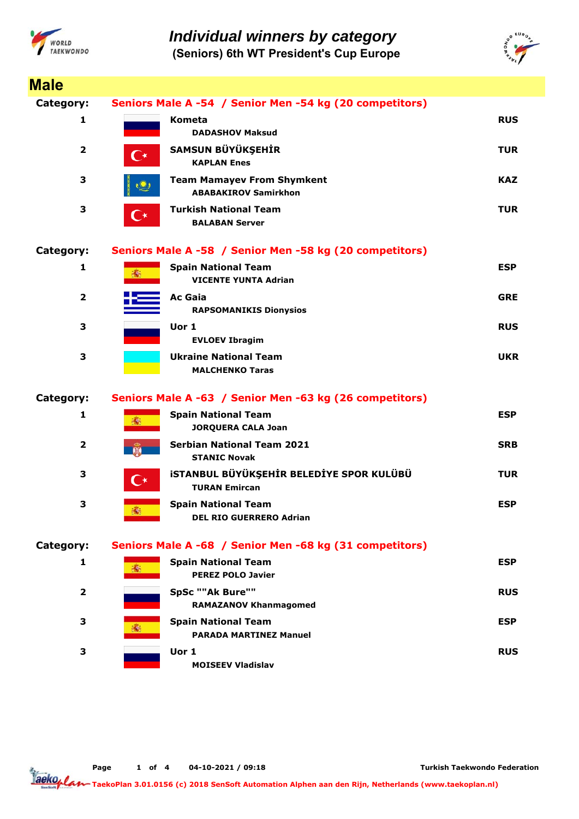

*Individual winners by category*

**(Seniors) 6th WT President's Cup Europe**



| <b>Male</b>             |                                                         |                                                                         |            |  |  |
|-------------------------|---------------------------------------------------------|-------------------------------------------------------------------------|------------|--|--|
| Category:               | Seniors Male A -54 / Senior Men -54 kg (20 competitors) |                                                                         |            |  |  |
| 1                       |                                                         | <b>Kometa</b><br><b>DADASHOV Maksud</b>                                 | <b>RUS</b> |  |  |
| $\overline{2}$          | $\mathsf{C}^\star$                                      | SAMSUN BÜYÜKŞEHİR<br><b>KAPLAN Enes</b>                                 | <b>TUR</b> |  |  |
| 3                       |                                                         | <b>Team Mamayev From Shymkent</b><br><b>ABABAKIROV Samirkhon</b>        | <b>KAZ</b> |  |  |
| 3                       | $\mathsf{C}^\star$                                      | <b>Turkish National Team</b><br><b>BALABAN Server</b>                   | <b>TUR</b> |  |  |
| Category:               |                                                         | Seniors Male A -58 / Senior Men -58 kg (20 competitors)                 |            |  |  |
| 1                       | 燕                                                       | <b>Spain National Team</b><br><b>VICENTE YUNTA Adrian</b>               | <b>ESP</b> |  |  |
| $\overline{2}$          |                                                         | <b>Ac Gaia</b><br><b>RAPSOMANIKIS Dionysios</b>                         | <b>GRE</b> |  |  |
| 3                       |                                                         | Uor 1<br><b>EVLOEV Ibragim</b>                                          | <b>RUS</b> |  |  |
| 3                       |                                                         | <b>Ukraine National Team</b><br><b>MALCHENKO Taras</b>                  | <b>UKR</b> |  |  |
| Category:               |                                                         | Seniors Male A -63 / Senior Men -63 kg (26 competitors)                 |            |  |  |
| 1                       |                                                         | <b>Spain National Team</b><br><b>JORQUERA CALA Joan</b>                 | <b>ESP</b> |  |  |
| $\overline{\mathbf{2}}$ | <b>DE</b>                                               | <b>Serbian National Team 2021</b><br><b>STANIC Novak</b>                | <b>SRB</b> |  |  |
| 3                       | $\mathbf{C}^{\star}$                                    | <b>ISTANBUL BÜYÜKŞEHİR BELEDİYE SPOR KULÜBÜ</b><br><b>TURAN Emircan</b> | <b>TUR</b> |  |  |
| 3                       |                                                         | <b>Spain National Team</b><br><b>DEL RIO GUERRERO Adrian</b>            | <b>ESP</b> |  |  |
| Category:               |                                                         | Seniors Male A -68 / Senior Men -68 kg (31 competitors)                 |            |  |  |
| 1                       |                                                         | <b>Spain National Team</b><br><b>PEREZ POLO Javier</b>                  | <b>ESP</b> |  |  |
| $\mathbf{2}$            |                                                         | SpSc ""Ak Bure""<br><b>RAMAZANOV Khanmagomed</b>                        | <b>RUS</b> |  |  |
| 3                       |                                                         | <b>Spain National Team</b><br><b>PARADA MARTINEZ Manuel</b>             | <b>ESP</b> |  |  |
| 3                       |                                                         | Uor 1<br><b>MOISEEV Vladislav</b>                                       | <b>RUS</b> |  |  |

**Page o 1 f 4 04-10-2021 / 09:18**

**Turkish Taekwondo Federation**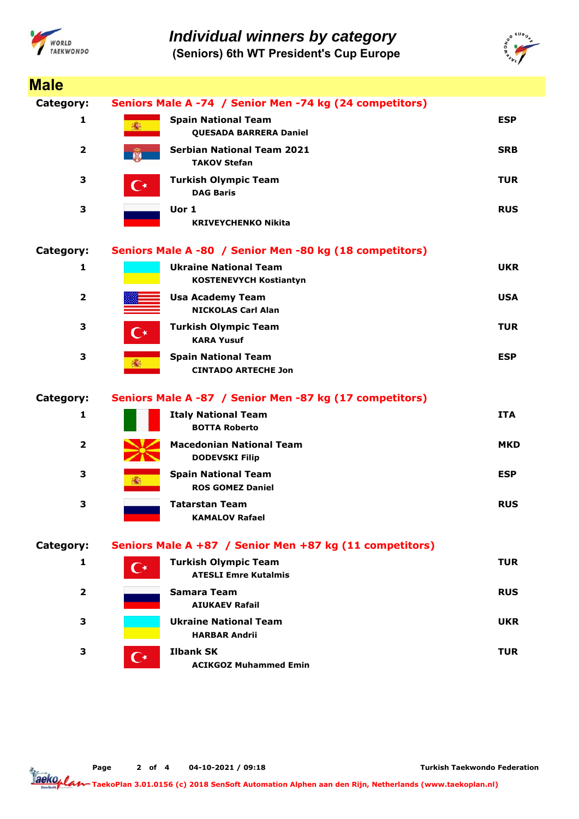

*Individual winners by category*

**(Seniors) 6th WT President's Cup Europe**



| <b>Male</b>             |                                                         |                                                               |            |  |  |
|-------------------------|---------------------------------------------------------|---------------------------------------------------------------|------------|--|--|
| Category:               | Seniors Male A -74 / Senior Men -74 kg (24 competitors) |                                                               |            |  |  |
| 1                       | 46                                                      | <b>Spain National Team</b><br><b>QUESADA BARRERA Daniel</b>   | <b>ESP</b> |  |  |
| $\overline{\mathbf{2}}$ |                                                         | <b>Serbian National Team 2021</b><br><b>TAKOV Stefan</b>      | <b>SRB</b> |  |  |
| 3                       | $\mathsf{C}^\star$                                      | <b>Turkish Olympic Team</b><br><b>DAG Baris</b>               | <b>TUR</b> |  |  |
| 3                       |                                                         | Uor 1<br><b>KRIVEYCHENKO Nikita</b>                           | <b>RUS</b> |  |  |
| Category:               | Seniors Male A -80 / Senior Men -80 kg (18 competitors) |                                                               |            |  |  |
| $\mathbf{1}$            |                                                         | <b>Ukraine National Team</b><br><b>KOSTENEVYCH Kostiantyn</b> | <b>UKR</b> |  |  |
| $\overline{\mathbf{2}}$ |                                                         | <b>Usa Academy Team</b><br><b>NICKOLAS Carl Alan</b>          | <b>USA</b> |  |  |
| 3                       | ( ∗                                                     | <b>Turkish Olympic Team</b><br><b>KARA Yusuf</b>              | <b>TUR</b> |  |  |
| 3                       |                                                         | <b>Spain National Team</b><br><b>CINTADO ARTECHE Jon</b>      | <b>ESP</b> |  |  |
| Category:               |                                                         | Seniors Male A -87 / Senior Men -87 kg (17 competitors)       |            |  |  |
| 1                       |                                                         | <b>Italy National Team</b><br><b>BOTTA Roberto</b>            | <b>ITA</b> |  |  |
| $\overline{2}$          |                                                         | <b>Macedonian National Team</b><br><b>DODEVSKI Filip</b>      | MKD        |  |  |
| 3                       |                                                         | <b>Spain National Team</b><br><b>ROS GOMEZ Daniel</b>         | <b>ESP</b> |  |  |
| 3                       |                                                         | <b>Tatarstan Team</b><br><b>KAMALOV Rafael</b>                | <b>RUS</b> |  |  |
| Category:               |                                                         | Seniors Male A +87 / Senior Men +87 kg (11 competitors)       |            |  |  |
| 1                       | $\mathsf{C}^\star$                                      | <b>Turkish Olympic Team</b><br><b>ATESLI Emre Kutalmis</b>    | <b>TUR</b> |  |  |
| $\overline{\mathbf{2}}$ |                                                         | <b>Samara Team</b><br><b>AIUKAEV Rafail</b>                   | <b>RUS</b> |  |  |
| 3                       |                                                         | <b>Ukraine National Team</b><br><b>HARBAR Andrii</b>          | <b>UKR</b> |  |  |
| 3                       | $\mathsf{C}^\star$                                      | <b>Ilbank SK</b><br><b>ACIKGOZ Muhammed Emin</b>              | <b>TUR</b> |  |  |

**Page o 2 f 4 04-10-2021 / 09:18**

**Turkish Taekwondo Federation**

Tackoplan **TaekoPlan 3.01.0156 (c) 2018 SenSoft Automation Alphen aan den Rijn, Netherlands (www.taekoplan.nl)**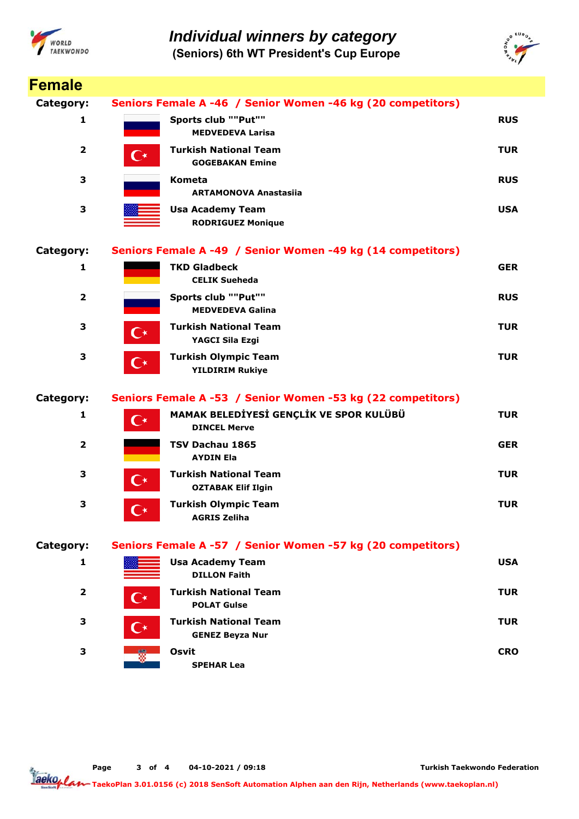



| <b>Female</b>           |                                                             |                                                                |            |  |  |
|-------------------------|-------------------------------------------------------------|----------------------------------------------------------------|------------|--|--|
| Category:               | Seniors Female A -46 / Senior Women -46 kg (20 competitors) |                                                                |            |  |  |
| 1                       |                                                             | Sports club ""Put""<br><b>MEDVEDEVA Larisa</b>                 | <b>RUS</b> |  |  |
| $\overline{\mathbf{2}}$ | С∗                                                          | <b>Turkish National Team</b><br><b>GOGEBAKAN Emine</b>         | <b>TUR</b> |  |  |
| 3                       |                                                             | Kometa<br><b>ARTAMONOVA Anastasija</b>                         | <b>RUS</b> |  |  |
| 3                       |                                                             | <b>Usa Academy Team</b><br><b>RODRIGUEZ Monique</b>            | <b>USA</b> |  |  |
| Category:               |                                                             | Seniors Female A -49 / Senior Women -49 kg (14 competitors)    |            |  |  |
| 1                       |                                                             | <b>TKD Gladbeck</b><br><b>CELIK Sueheda</b>                    | <b>GER</b> |  |  |
| $\overline{\mathbf{2}}$ |                                                             | Sports club ""Put""<br><b>MEDVEDEVA Galina</b>                 | <b>RUS</b> |  |  |
| 3                       | $\mathsf{C}^\star$                                          | <b>Turkish National Team</b><br>YAGCI Sila Ezgi                | <b>TUR</b> |  |  |
| 3                       | $\mathbf{C}^{\star}$                                        | <b>Turkish Olympic Team</b><br><b>YILDIRIM Rukiye</b>          | <b>TUR</b> |  |  |
| Category:               |                                                             | Seniors Female A -53 / Senior Women -53 kg (22 competitors)    |            |  |  |
| 1                       | ⊆∗                                                          | MAMAK BELEDİYESİ GENÇLİK VE SPOR KULÜBÜ<br><b>DINCEL Merve</b> | <b>TUR</b> |  |  |
| $\mathbf{2}$            |                                                             | TSV Dachau 1865<br><b>AYDIN Ela</b>                            | <b>GER</b> |  |  |
| 3                       | $\mathsf{C}^\star$                                          | <b>Turkish National Team</b><br><b>OZTABAK Elif Ilgin</b>      | <b>TUR</b> |  |  |
| 3                       | $\mathbf{C}^{\star}$                                        | <b>Turkish Olympic Team</b><br><b>AGRIS Zeliha</b>             | <b>TUR</b> |  |  |
| Category:               |                                                             | Seniors Female A -57 / Senior Women -57 kg (20 competitors)    |            |  |  |
| 1                       |                                                             | <b>Usa Academy Team</b><br><b>DILLON Faith</b>                 | <b>USA</b> |  |  |
| $\overline{\mathbf{2}}$ | $\mathbf{C}^{\star}$                                        | <b>Turkish National Team</b><br><b>POLAT Gulse</b>             | <b>TUR</b> |  |  |
| 3                       | C∗                                                          | <b>Turkish National Team</b><br><b>GENEZ Beyza Nur</b>         | <b>TUR</b> |  |  |
| 3                       |                                                             | Osvit<br><b>SPEHAR Lea</b>                                     | <b>CRO</b> |  |  |

**Page o 3 f 4 04-10-2021 / 09:18**

**Turkish Taekwondo Federation**

Tackoplan **TaekoPlan 3.01.0156 (c) 2018 SenSoft Automation Alphen aan den Rijn, Netherlands (www.taekoplan.nl)**